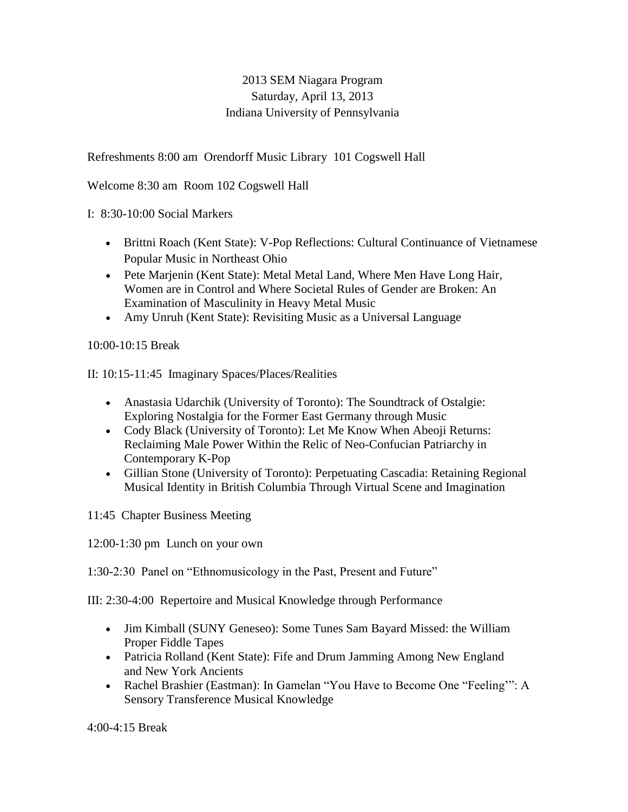## 2013 SEM Niagara Program Saturday, April 13, 2013 Indiana University of Pennsylvania

Refreshments 8:00 am Orendorff Music Library 101 Cogswell Hall

Welcome 8:30 am Room 102 Cogswell Hall

I: 8:30-10:00 Social Markers

- Brittni Roach (Kent State): V-Pop Reflections: Cultural Continuance of Vietnamese Popular Music in Northeast Ohio
- Pete Marjenin (Kent State): Metal Metal Land, Where Men Have Long Hair, Women are in Control and Where Societal Rules of Gender are Broken: An Examination of Masculinity in Heavy Metal Music
- Amy Unruh (Kent State): Revisiting Music as a Universal Language

10:00-10:15 Break

II: 10:15-11:45 Imaginary Spaces/Places/Realities

- Anastasia Udarchik (University of Toronto): The Soundtrack of Ostalgie: Exploring Nostalgia for the Former East Germany through Music
- Cody Black (University of Toronto): Let Me Know When Abeoji Returns: Reclaiming Male Power Within the Relic of Neo-Confucian Patriarchy in Contemporary K-Pop
- Gillian Stone (University of Toronto): Perpetuating Cascadia: Retaining Regional Musical Identity in British Columbia Through Virtual Scene and Imagination

11:45 Chapter Business Meeting

12:00-1:30 pm Lunch on your own

1:30-2:30 Panel on "Ethnomusicology in the Past, Present and Future"

III: 2:30-4:00 Repertoire and Musical Knowledge through Performance

- Jim Kimball (SUNY Geneseo): Some Tunes Sam Bayard Missed: the William Proper Fiddle Tapes
- Patricia Rolland (Kent State): Fife and Drum Jamming Among New England and New York Ancients
- Rachel Brashier (Eastman): In Gamelan "You Have to Become One "Feeling'": A Sensory Transference Musical Knowledge

4:00-4:15 Break